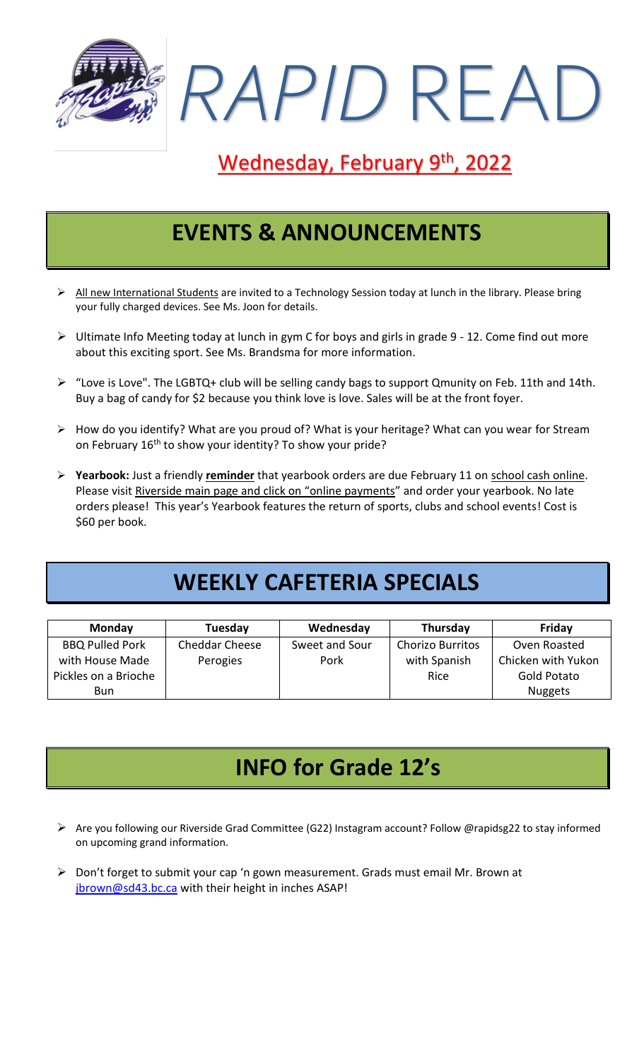

## Wednesday, February 9<sup>th</sup>, 2022

## **EVENTS & ANNOUNCEMENTS**

- ➢ All new International Students are invited to a Technology Session today at lunch in the library. Please bring your fully charged devices. See Ms. Joon for details.
- ➢ Ultimate Info Meeting today at lunch in gym C for boys and girls in grade 9 12. Come find out more about this exciting sport. See Ms. Brandsma for more information.
- ➢ "Love is Love". The LGBTQ+ club will be selling candy bags to support Qmunity on Feb. 11th and 14th. Buy a bag of candy for \$2 because you think love is love. Sales will be at the front foyer.
- ➢ How do you identify? What are you proud of? What is your heritage? What can you wear for Stream on February 16<sup>th</sup> to show your identity? To show your pride?
- ➢ **Yearbook:** Just a friendly **reminder** that yearbook orders are due February 11 on school cash online. Please visit Riverside main page and click on "online payments" and order your yearbook. No late orders please! This year's Yearbook features the return of sports, clubs and school events! Cost is \$60 per book.

# **WEEKLY CAFETERIA SPECIALS**

| <b>Monday</b>          | Tuesday        | Wednesday      | Thursday                | Friday             |
|------------------------|----------------|----------------|-------------------------|--------------------|
| <b>BBQ Pulled Pork</b> | Cheddar Cheese | Sweet and Sour | <b>Chorizo Burritos</b> | Oven Roasted       |
| with House Made        | Perogies       | Pork           | with Spanish            | Chicken with Yukon |
| Pickles on a Brioche   |                |                | Rice                    | Gold Potato        |
| Bun.                   |                |                |                         | <b>Nuggets</b>     |

## **INFO for Grade 12's**

- ➢ Are you following our Riverside Grad Committee (G22) Instagram account? Follow @rapidsg22 to stay informed on upcoming grand information.
- ➢ Don't forget to submit your cap 'n gown measurement. Grads must email Mr. Brown at [jbrown@sd43.bc.ca](mailto:jbrown@sd43.bc.ca) with their height in inches ASAP!